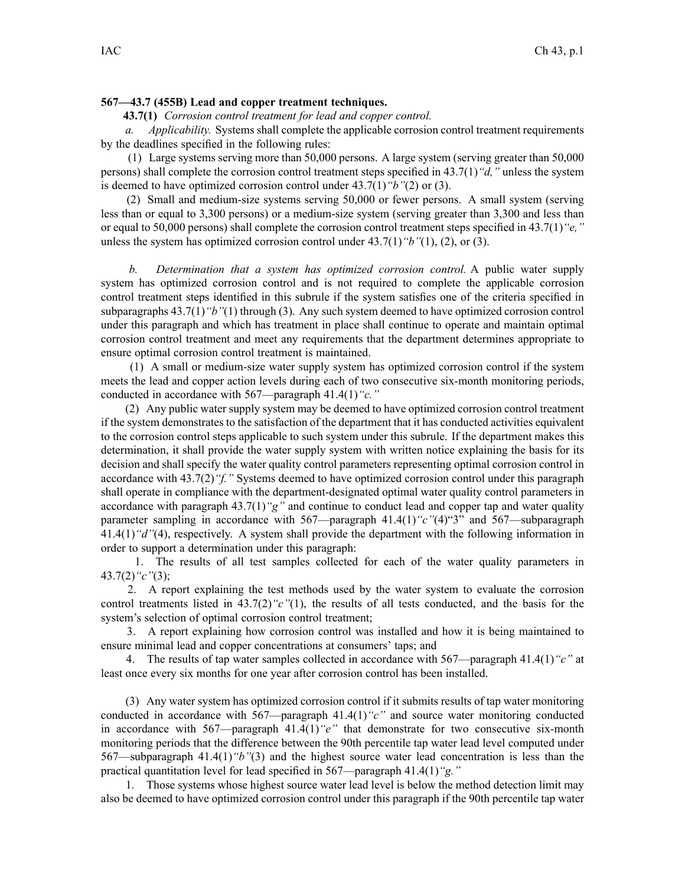## **567—43.7 (455B) Lead and copper treatment techniques.**

**43.7(1)** *Corrosion control treatment for lead and copper control.*

*a. Applicability.* Systems shall complete the applicable corrosion control treatment requirements by the deadlines specified in the following rules:

(1) Large systems serving more than 50,000 persons. A large system (serving greater than 50,000 persons) shall complete the corrosion control treatment steps specified in 43.7(1)*"d,"* unless the system is deemed to have optimized corrosion control under 43.7(1)*"b"*(2) or (3).

(2) Small and medium-size systems serving 50,000 or fewer persons. A small system (serving less than or equal to 3,300 persons) or <sup>a</sup> medium-size system (serving greater than 3,300 and less than or equal to 50,000 persons) shall complete the corrosion control treatment steps specified in 43.7(1)*"e,"* unless the system has optimized corrosion control under 43.7(1)*"b"*(1), (2), or (3).

*b. Determination that <sup>a</sup> system has optimized corrosion control.* A public water supply system has optimized corrosion control and is not required to complete the applicable corrosion control treatment steps identified in this subrule if the system satisfies one of the criteria specified in subparagraphs 43.7(1)*"b"*(1) through (3). Any such system deemed to have optimized corrosion control under this paragraph and which has treatment in place shall continue to operate and maintain optimal corrosion control treatment and meet any requirements that the department determines appropriate to ensure optimal corrosion control treatment is maintained.

(1) A small or medium-size water supply system has optimized corrosion control if the system meets the lead and copper action levels during each of two consecutive six-month monitoring periods, conducted in accordance with 567—paragraph 41.4(1)*"c."*

(2) Any public water supply system may be deemed to have optimized corrosion control treatment if the system demonstrates to the satisfaction of the department that it has conducted activities equivalent to the corrosion control steps applicable to such system under this subrule. If the department makes this determination, it shall provide the water supply system with written notice explaining the basis for its decision and shall specify the water quality control parameters representing optimal corrosion control in accordance with 43.7(2)*"f."* Systems deemed to have optimized corrosion control under this paragraph shall operate in compliance with the department-designated optimal water quality control parameters in accordance with paragraph 43.7(1)*"g"* and continue to conduct lead and copper tap and water quality parameter sampling in accordance with 567—paragraph 41.4(1)*"c"*(4)"3" and 567—subparagraph 41.4(1)*"d"*(4), respectively. A system shall provide the department with the following information in order to suppor<sup>t</sup> <sup>a</sup> determination under this paragraph:

1. The results of all test samples collected for each of the water quality parameters in 43.7(2)*"c"*(3);

2. A repor<sup>t</sup> explaining the test methods used by the water system to evaluate the corrosion control treatments listed in 43.7(2)*"c"*(1), the results of all tests conducted, and the basis for the system's selection of optimal corrosion control treatment;

3. A repor<sup>t</sup> explaining how corrosion control was installed and how it is being maintained to ensure minimal lead and copper concentrations at consumers' taps; and

4. The results of tap water samples collected in accordance with 567—paragraph 41.4(1)*"c"* at least once every six months for one year after corrosion control has been installed.

(3) Any water system has optimized corrosion control if it submits results of tap water monitoring conducted in accordance with 567—paragraph 41.4(1)*"c"* and source water monitoring conducted in accordance with 567—paragraph 41.4(1)*"e"* that demonstrate for two consecutive six-month monitoring periods that the difference between the 90th percentile tap water lead level computed under 567—subparagraph 41.4(1)*"b"*(3) and the highest source water lead concentration is less than the practical quantitation level for lead specified in 567—paragraph 41.4(1)*"g."*

1. Those systems whose highest source water lead level is below the method detection limit may also be deemed to have optimized corrosion control under this paragraph if the 90th percentile tap water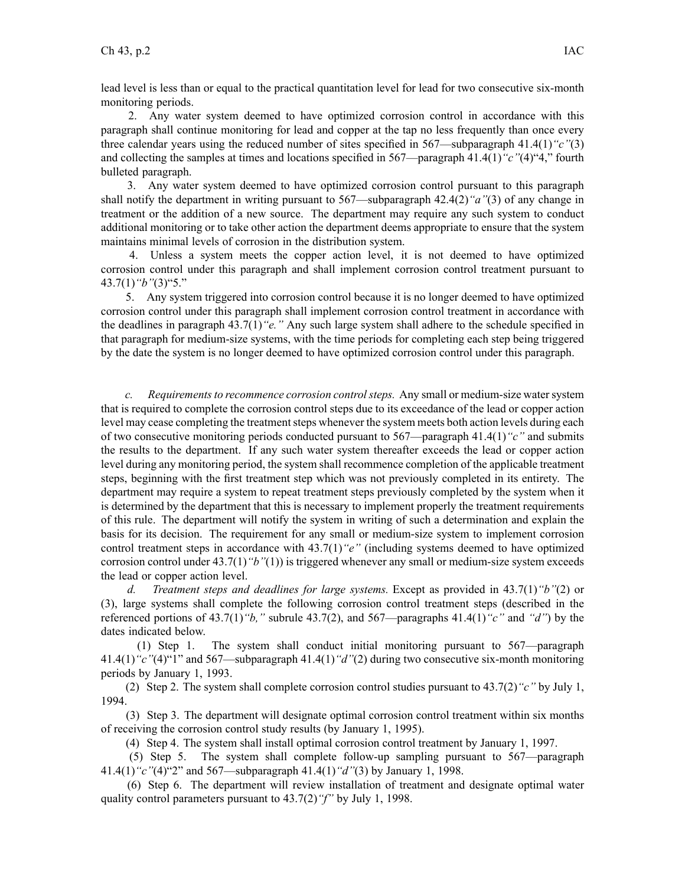lead level is less than or equal to the practical quantitation level for lead for two consecutive six-month monitoring periods.

2. Any water system deemed to have optimized corrosion control in accordance with this paragraph shall continue monitoring for lead and copper at the tap no less frequently than once every three calendar years using the reduced number of sites specified in 567—subparagraph 41.4(1)*"c"*(3) and collecting the samples at times and locations specified in 567—paragraph 41.4(1)*"c"*(4)"4," fourth bulleted paragraph.

3. Any water system deemed to have optimized corrosion control pursuan<sup>t</sup> to this paragraph shall notify the department in writing pursuan<sup>t</sup> to 567—subparagraph 42.4(2)*"a"*(3) of any change in treatment or the addition of <sup>a</sup> new source. The department may require any such system to conduct additional monitoring or to take other action the department deems appropriate to ensure that the system maintains minimal levels of corrosion in the distribution system.

4. Unless <sup>a</sup> system meets the copper action level, it is not deemed to have optimized corrosion control under this paragraph and shall implement corrosion control treatment pursuan<sup>t</sup> to 43.7(1)*"b"*(3)"5."

5. Any system triggered into corrosion control because it is no longer deemed to have optimized corrosion control under this paragraph shall implement corrosion control treatment in accordance with the deadlines in paragraph 43.7(1)*"e."* Any such large system shall adhere to the schedule specified in that paragraph for medium-size systems, with the time periods for completing each step being triggered by the date the system is no longer deemed to have optimized corrosion control under this paragraph.

*c. Requirementsto recommence corrosion controlsteps.* Any small or medium-size watersystem that is required to complete the corrosion control steps due to its exceedance of the lead or copper action level may cease completing the treatment steps whenever the system meets both action levels during each of two consecutive monitoring periods conducted pursuan<sup>t</sup> to 567—paragraph 41.4(1)*"c"* and submits the results to the department. If any such water system thereafter exceeds the lead or copper action level during any monitoring period, the system shall recommence completion of the applicable treatment steps, beginning with the first treatment step which was not previously completed in its entirety. The department may require <sup>a</sup> system to repea<sup>t</sup> treatment steps previously completed by the system when it is determined by the department that this is necessary to implement properly the treatment requirements of this rule. The department will notify the system in writing of such <sup>a</sup> determination and explain the basis for its decision. The requirement for any small or medium-size system to implement corrosion control treatment steps in accordance with 43.7(1)*"e"* (including systems deemed to have optimized corrosion control under 43.7(1)*"b"*(1)) is triggered whenever any small or medium-size system exceeds the lead or copper action level.

*d. Treatment steps and deadlines for large systems.* Except as provided in 43.7(1)*"b"*(2) or (3), large systems shall complete the following corrosion control treatment steps (described in the referenced portions of 43.7(1)*"b,"* subrule 43.7(2), and 567—paragraphs 41.4(1)*"c"* and *"d"*) by the dates indicated below.

(1) Step 1. The system shall conduct initial monitoring pursuan<sup>t</sup> to 567—paragraph 41.4(1)*"c"*(4)"1" and 567—subparagraph 41.4(1)*"d"*(2) during two consecutive six-month monitoring periods by January 1, 1993.

(2) Step 2. The system shall complete corrosion control studies pursuan<sup>t</sup> to 43.7(2)*"c"* by July 1, 1994.

(3) Step 3. The department will designate optimal corrosion control treatment within six months of receiving the corrosion control study results (by January 1, 1995).

(4) Step 4. The system shall install optimal corrosion control treatment by January 1, 1997.

(5) Step 5. The system shall complete follow-up sampling pursuan<sup>t</sup> to 567—paragraph 41.4(1)*"c"*(4)"2" and 567—subparagraph 41.4(1)*"d"*(3) by January 1, 1998.

(6) Step 6. The department will review installation of treatment and designate optimal water quality control parameters pursuan<sup>t</sup> to 43.7(2)*"f"* by July 1, 1998.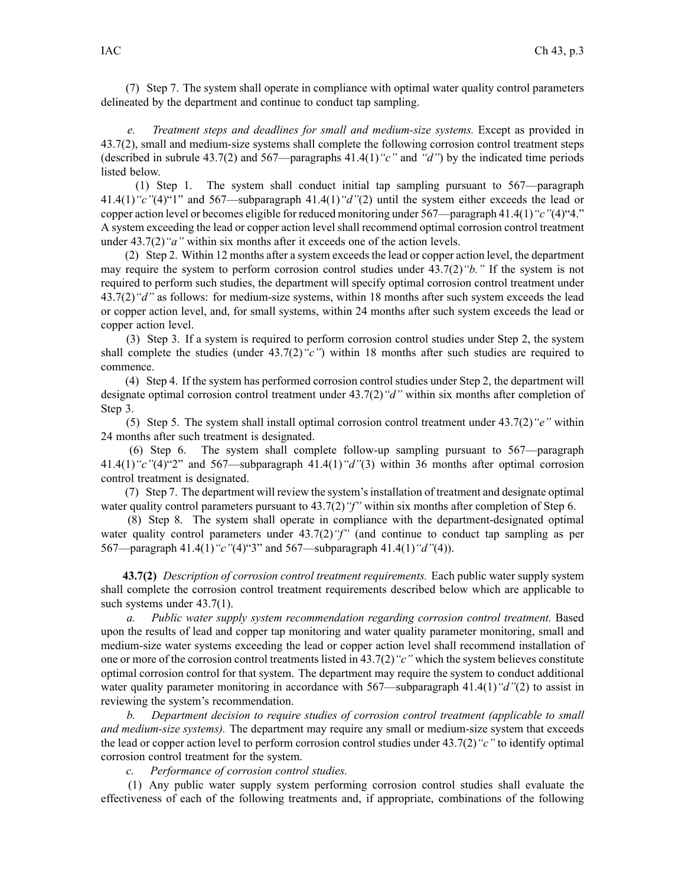(7) Step 7. The system shall operate in compliance with optimal water quality control parameters delineated by the department and continue to conduct tap sampling.

*e. Treatment steps and deadlines for small and medium-size systems.* Except as provided in 43.7(2), small and medium-size systems shall complete the following corrosion control treatment steps (described in subrule 43.7(2) and 567—paragraphs 41.4(1)*"c"* and *"d"*) by the indicated time periods listed below.

(1) Step 1. The system shall conduct initial tap sampling pursuan<sup>t</sup> to 567—paragraph 41.4(1)*"c"*(4)"1" and 567—subparagraph 41.4(1)*"d"*(2) until the system either exceeds the lead or copper action level or becomes eligible for reduced monitoring under 567—paragraph 41.4(1)*"c"*(4)"4." A system exceeding the lead or copper action level shall recommend optimal corrosion control treatment under 43.7(2)*"a"* within six months after it exceeds one of the action levels.

(2) Step 2. Within 12 months after a system exceeds the lead or copper action level, the department may require the system to perform corrosion control studies under 43.7(2)*"b."* If the system is not required to perform such studies, the department will specify optimal corrosion control treatment under 43.7(2)*"d"* as follows: for medium-size systems, within 18 months after such system exceeds the lead or copper action level, and, for small systems, within 24 months after such system exceeds the lead or copper action level.

(3) Step 3. If <sup>a</sup> system is required to perform corrosion control studies under Step 2, the system shall complete the studies (under 43.7(2)*"c"*) within 18 months after such studies are required to commence.

(4) Step 4. If the system has performed corrosion control studies under Step 2, the department will designate optimal corrosion control treatment under 43.7(2)*"d"* within six months after completion of Step 3.

(5) Step 5. The system shall install optimal corrosion control treatment under 43.7(2)*"e"* within 24 months after such treatment is designated.

(6) Step 6. The system shall complete follow-up sampling pursuan<sup>t</sup> to 567—paragraph 41.4(1)*"c"*(4)"2" and 567—subparagraph 41.4(1)*"d"*(3) within 36 months after optimal corrosion control treatment is designated.

(7) Step 7. The department will review the system'sinstallation of treatment and designate optimal water quality control parameters pursuant to  $43.7(2)$  "f" within six months after completion of Step 6.

(8) Step 8. The system shall operate in compliance with the department-designated optimal water quality control parameters under 43.7(2)*"f"* (and continue to conduct tap sampling as per 567—paragraph 41.4(1)*"c"*(4)"3" and 567—subparagraph 41.4(1)*"d"*(4)).

**43.7(2)** *Description of corrosion control treatment requirements.* Each public water supply system shall complete the corrosion control treatment requirements described below which are applicable to such systems under  $43.7(1)$ .

*a. Public water supply system recommendation regarding corrosion control treatment.* Based upon the results of lead and copper tap monitoring and water quality parameter monitoring, small and medium-size water systems exceeding the lead or copper action level shall recommend installation of one or more of the corrosion control treatments listed in 43.7(2)*"c"* which the system believes constitute optimal corrosion control for that system. The department may require the system to conduct additional water quality parameter monitoring in accordance with 567—subparagraph 41.4(1)*"d"*(2) to assist in reviewing the system's recommendation.

*b. Department decision to require studies of corrosion control treatment (applicable to small and medium-size systems).* The department may require any small or medium-size system that exceeds the lead or copper action level to perform corrosion control studies under 43.7(2)*"c"* to identify optimal corrosion control treatment for the system.

*c. Performance of corrosion control studies.*

(1) Any public water supply system performing corrosion control studies shall evaluate the effectiveness of each of the following treatments and, if appropriate, combinations of the following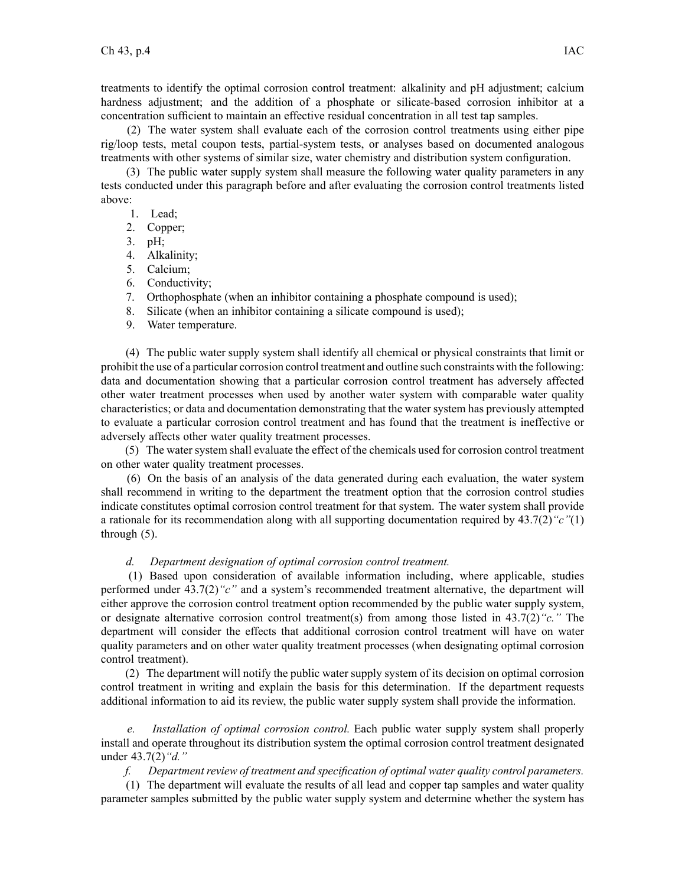treatments to identify the optimal corrosion control treatment: alkalinity and pH adjustment; calcium hardness adjustment; and the addition of <sup>a</sup> phosphate or silicate-based corrosion inhibitor at <sup>a</sup> concentration sufficient to maintain an effective residual concentration in all test tap samples.

(2) The water system shall evaluate each of the corrosion control treatments using either pipe rig/loop tests, metal coupon tests, partial-system tests, or analyses based on documented analogous treatments with other systems of similar size, water chemistry and distribution system configuration.

(3) The public water supply system shall measure the following water quality parameters in any tests conducted under this paragraph before and after evaluating the corrosion control treatments listed above:

- 1. Lead;
- 2. Copper;

3. pH;

- 4. Alkalinity;
- 5. Calcium;
- 6. Conductivity;
- 7. Orthophosphate (when an inhibitor containing <sup>a</sup> phosphate compound is used);
- 8. Silicate (when an inhibitor containing <sup>a</sup> silicate compound is used);
- 9. Water temperature.

(4) The public water supply system shall identify all chemical or physical constraints that limit or prohibit the use of <sup>a</sup> particular corrosion control treatment and outline such constraints with the following: data and documentation showing that <sup>a</sup> particular corrosion control treatment has adversely affected other water treatment processes when used by another water system with comparable water quality characteristics; or data and documentation demonstrating that the water system has previously attempted to evaluate <sup>a</sup> particular corrosion control treatment and has found that the treatment is ineffective or adversely affects other water quality treatment processes.

(5) The water system shall evaluate the effect of the chemicals used for corrosion control treatment on other water quality treatment processes.

(6) On the basis of an analysis of the data generated during each evaluation, the water system shall recommend in writing to the department the treatment option that the corrosion control studies indicate constitutes optimal corrosion control treatment for that system. The water system shall provide <sup>a</sup> rationale for its recommendation along with all supporting documentation required by 43.7(2)*"c"*(1) through (5).

## *d. Department designation of optimal corrosion control treatment.*

(1) Based upon consideration of available information including, where applicable, studies performed under 43.7(2)*"c"* and <sup>a</sup> system's recommended treatment alternative, the department will either approve the corrosion control treatment option recommended by the public water supply system, or designate alternative corrosion control treatment(s) from among those listed in 43.7(2)*"c."* The department will consider the effects that additional corrosion control treatment will have on water quality parameters and on other water quality treatment processes (when designating optimal corrosion control treatment).

(2) The department will notify the public water supply system of its decision on optimal corrosion control treatment in writing and explain the basis for this determination. If the department requests additional information to aid its review, the public water supply system shall provide the information.

*Installation of optimal corrosion control.* Each public water supply system shall properly install and operate throughout its distribution system the optimal corrosion control treatment designated under 43.7(2)*"d."*

*f. Department review of treatment and specification of optimal water quality control parameters.*

(1) The department will evaluate the results of all lead and copper tap samples and water quality parameter samples submitted by the public water supply system and determine whether the system has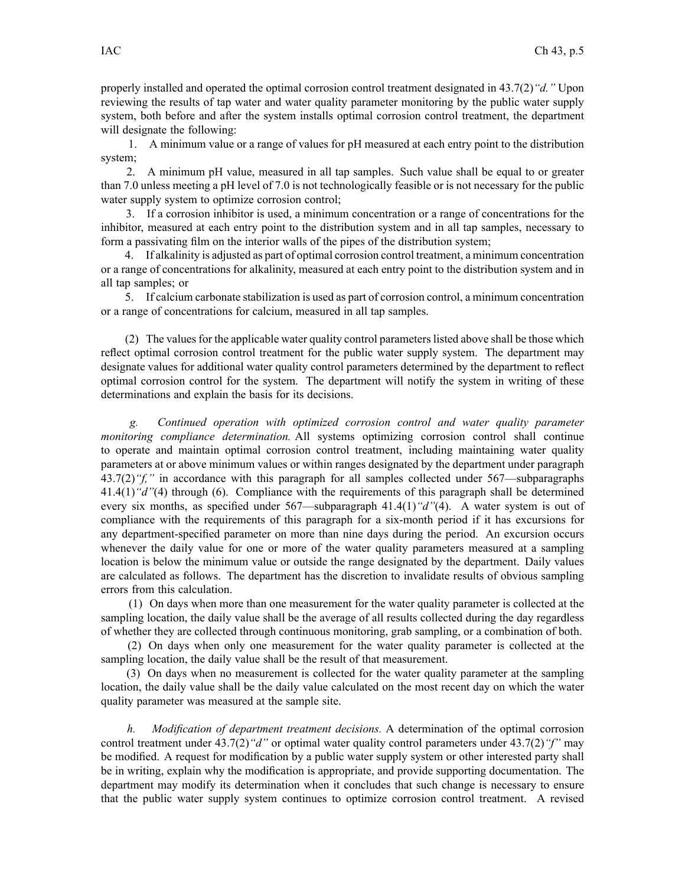properly installed and operated the optimal corrosion control treatment designated in 43.7(2)*"d."* Upon reviewing the results of tap water and water quality parameter monitoring by the public water supply system, both before and after the system installs optimal corrosion control treatment, the department will designate the following:

1. A minimum value or <sup>a</sup> range of values for pH measured at each entry point to the distribution system;

2. A minimum pH value, measured in all tap samples. Such value shall be equal to or greater than 7.0 unless meeting <sup>a</sup> pH level of 7.0 is not technologically feasible or is not necessary for the public water supply system to optimize corrosion control;

3. If <sup>a</sup> corrosion inhibitor is used, <sup>a</sup> minimum concentration or <sup>a</sup> range of concentrations for the inhibitor, measured at each entry point to the distribution system and in all tap samples, necessary to form <sup>a</sup> passivating film on the interior walls of the pipes of the distribution system;

4. If alkalinity is adjusted as par<sup>t</sup> of optimal corrosion control treatment, <sup>a</sup> minimum concentration or <sup>a</sup> range of concentrations for alkalinity, measured at each entry point to the distribution system and in all tap samples; or

5. If calcium carbonate stabilization is used as par<sup>t</sup> of corrosion control, <sup>a</sup> minimum concentration or <sup>a</sup> range of concentrations for calcium, measured in all tap samples.

(2) The valuesfor the applicable water quality control parameterslisted above shall be those which reflect optimal corrosion control treatment for the public water supply system. The department may designate values for additional water quality control parameters determined by the department to reflect optimal corrosion control for the system. The department will notify the system in writing of these determinations and explain the basis for its decisions.

*g. Continued operation with optimized corrosion control and water quality parameter monitoring compliance determination.* All systems optimizing corrosion control shall continue to operate and maintain optimal corrosion control treatment, including maintaining water quality parameters at or above minimum values or within ranges designated by the department under paragraph 43.7(2) "f," in accordance with this paragraph for all samples collected under 567—subparagraphs 41.4(1)*"d"*(4) through (6). Compliance with the requirements of this paragraph shall be determined every six months, as specified under 567—subparagraph 41.4(1)*"d"*(4). A water system is out of compliance with the requirements of this paragraph for <sup>a</sup> six-month period if it has excursions for any department-specified parameter on more than nine days during the period. An excursion occurs whenever the daily value for one or more of the water quality parameters measured at <sup>a</sup> sampling location is below the minimum value or outside the range designated by the department. Daily values are calculated as follows. The department has the discretion to invalidate results of obvious sampling errors from this calculation.

(1) On days when more than one measurement for the water quality parameter is collected at the sampling location, the daily value shall be the average of all results collected during the day regardless of whether they are collected through continuous monitoring, grab sampling, or <sup>a</sup> combination of both.

(2) On days when only one measurement for the water quality parameter is collected at the sampling location, the daily value shall be the result of that measurement.

(3) On days when no measurement is collected for the water quality parameter at the sampling location, the daily value shall be the daily value calculated on the most recent day on which the water quality parameter was measured at the sample site.

*h. Modification of department treatment decisions.* A determination of the optimal corrosion control treatment under 43.7(2)*"d"* or optimal water quality control parameters under 43.7(2)*"f"* may be modified. A reques<sup>t</sup> for modification by <sup>a</sup> public water supply system or other interested party shall be in writing, explain why the modification is appropriate, and provide supporting documentation. The department may modify its determination when it concludes that such change is necessary to ensure that the public water supply system continues to optimize corrosion control treatment. A revised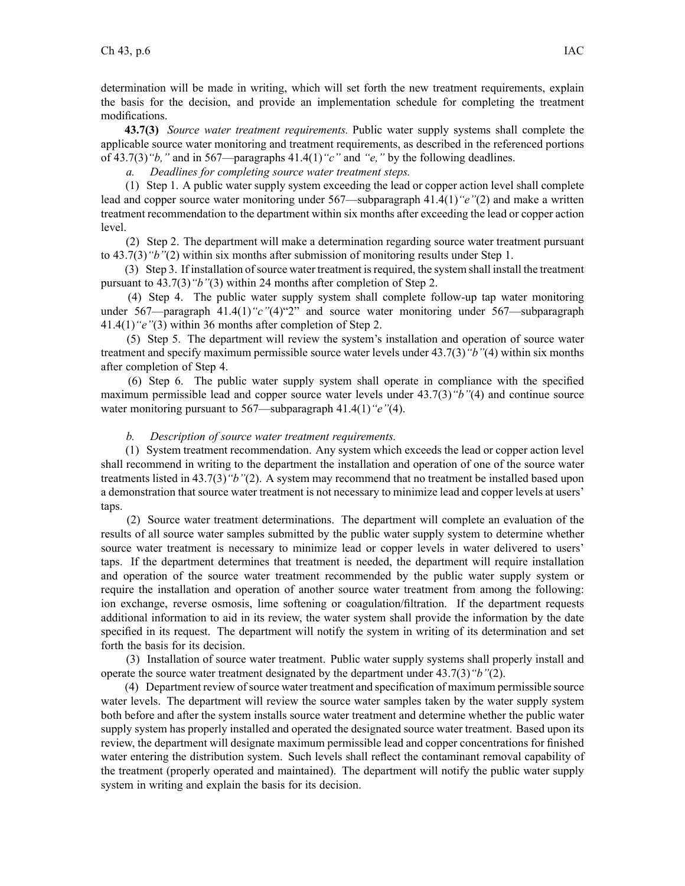determination will be made in writing, which will set forth the new treatment requirements, explain the basis for the decision, and provide an implementation schedule for completing the treatment modifications.

**43.7(3)** *Source water treatment requirements.* Public water supply systems shall complete the applicable source water monitoring and treatment requirements, as described in the referenced portions of 43.7(3)*"b,"* and in 567—paragraphs 41.4(1)*"c"* and *"e,"* by the following deadlines.

*a. Deadlines for completing source water treatment steps.*

(1) Step 1. A public water supply system exceeding the lead or copper action level shall complete lead and copper source water monitoring under 567—subparagraph 41.4(1)*"e"*(2) and make <sup>a</sup> written treatment recommendation to the department within six months after exceeding the lead or copper action level.

(2) Step 2. The department will make <sup>a</sup> determination regarding source water treatment pursuan<sup>t</sup> to 43.7(3)*"b"*(2) within six months after submission of monitoring results under Step 1.

(3) Step 3. If installation ofsource water treatment isrequired, the system shall install the treatment pursuan<sup>t</sup> to 43.7(3)*"b"*(3) within 24 months after completion of Step 2.

(4) Step 4. The public water supply system shall complete follow-up tap water monitoring under 567—paragraph 41.4(1)<sup>"</sup>c"<sup>(4)"2</sup>" and source water monitoring under 567—subparagraph 41.4(1)*"e"*(3) within 36 months after completion of Step 2.

(5) Step 5. The department will review the system's installation and operation of source water treatment and specify maximum permissible source water levels under 43.7(3)*"b"*(4) within six months after completion of Step 4.

(6) Step 6. The public water supply system shall operate in compliance with the specified maximum permissible lead and copper source water levels under 43.7(3)*"b"*(4) and continue source water monitoring pursuan<sup>t</sup> to 567—subparagraph 41.4(1)*"e"*(4).

## *b. Description of source water treatment requirements.*

(1) System treatment recommendation. Any system which exceeds the lead or copper action level shall recommend in writing to the department the installation and operation of one of the source water treatments listed in 43.7(3)*"b"*(2). A system may recommend that no treatment be installed based upon <sup>a</sup> demonstration that source water treatment is not necessary to minimize lead and copper levels at users' taps.

(2) Source water treatment determinations. The department will complete an evaluation of the results of all source water samples submitted by the public water supply system to determine whether source water treatment is necessary to minimize lead or copper levels in water delivered to users' taps. If the department determines that treatment is needed, the department will require installation and operation of the source water treatment recommended by the public water supply system or require the installation and operation of another source water treatment from among the following: ion exchange, reverse osmosis, lime softening or coagulation/filtration. If the department requests additional information to aid in its review, the water system shall provide the information by the date specified in its request. The department will notify the system in writing of its determination and set forth the basis for its decision.

(3) Installation of source water treatment. Public water supply systems shall properly install and operate the source water treatment designated by the department under 43.7(3)*"b"*(2).

(4) Department review ofsource water treatment and specification of maximum permissible source water levels. The department will review the source water samples taken by the water supply system both before and after the system installs source water treatment and determine whether the public water supply system has properly installed and operated the designated source water treatment. Based upon its review, the department will designate maximum permissible lead and copper concentrations for finished water entering the distribution system. Such levels shall reflect the contaminant removal capability of the treatment (properly operated and maintained). The department will notify the public water supply system in writing and explain the basis for its decision.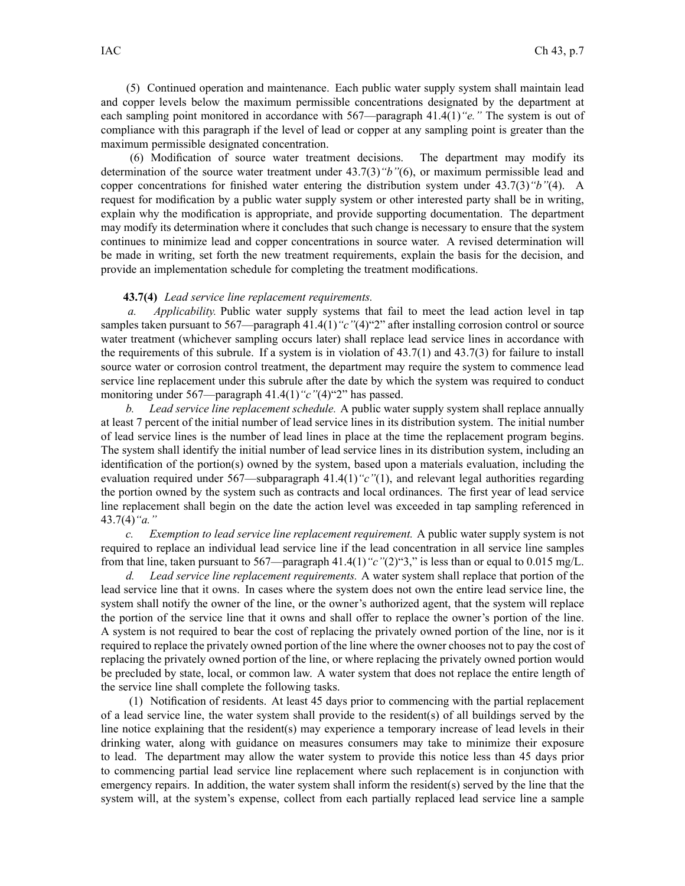(5) Continued operation and maintenance. Each public water supply system shall maintain lead and copper levels below the maximum permissible concentrations designated by the department at each sampling point monitored in accordance with 567—paragraph 41.4(1)*"e."* The system is out of compliance with this paragraph if the level of lead or copper at any sampling point is greater than the maximum permissible designated concentration.

(6) Modification of source water treatment decisions. The department may modify its determination of the source water treatment under 43.7(3)*"b"*(6), or maximum permissible lead and copper concentrations for finished water entering the distribution system under 43.7(3)*"b"*(4). A reques<sup>t</sup> for modification by <sup>a</sup> public water supply system or other interested party shall be in writing, explain why the modification is appropriate, and provide supporting documentation. The department may modify its determination where it concludes that such change is necessary to ensure that the system continues to minimize lead and copper concentrations in source water. A revised determination will be made in writing, set forth the new treatment requirements, explain the basis for the decision, and provide an implementation schedule for completing the treatment modifications.

## **43.7(4)** *Lead service line replacement requirements.*

*a. Applicability.* Public water supply systems that fail to meet the lead action level in tap samples taken pursuant to 567—paragraph 41.4(1) "c"(4)"2" after installing corrosion control or source water treatment (whichever sampling occurs later) shall replace lead service lines in accordance with the requirements of this subrule. If a system is in violation of  $43.7(1)$  and  $43.7(3)$  for failure to install source water or corrosion control treatment, the department may require the system to commence lead service line replacement under this subrule after the date by which the system was required to conduct monitoring under 567—paragraph 41.4(1)<sup>"</sup>c"(4)<sup>"2"</sup> has passed.

*b. Lead service line replacement schedule.* A public water supply system shall replace annually at least 7 percen<sup>t</sup> of the initial number of lead service lines in its distribution system. The initial number of lead service lines is the number of lead lines in place at the time the replacement program begins. The system shall identify the initial number of lead service lines in its distribution system, including an identification of the portion(s) owned by the system, based upon <sup>a</sup> materials evaluation, including the evaluation required under 567—subparagraph 41.4(1)*"c"*(1), and relevant legal authorities regarding the portion owned by the system such as contracts and local ordinances. The first year of lead service line replacement shall begin on the date the action level was exceeded in tap sampling referenced in 43.7(4)*"a."*

*c. Exemption to lead service line replacement requirement.* A public water supply system is not required to replace an individual lead service line if the lead concentration in all service line samples from that line, taken pursuan<sup>t</sup> to 567—paragraph 41.4(1)*"c"*(2)"3," is less than or equal to 0.015 mg/L.

*d. Lead service line replacement requirements.* A water system shall replace that portion of the lead service line that it owns. In cases where the system does not own the entire lead service line, the system shall notify the owner of the line, or the owner's authorized agent, that the system will replace the portion of the service line that it owns and shall offer to replace the owner's portion of the line. A system is not required to bear the cost of replacing the privately owned portion of the line, nor is it required to replace the privately owned portion of the line where the owner chooses not to pay the cost of replacing the privately owned portion of the line, or where replacing the privately owned portion would be precluded by state, local, or common law. A water system that does not replace the entire length of the service line shall complete the following tasks.

(1) Notification of residents. At least 45 days prior to commencing with the partial replacement of <sup>a</sup> lead service line, the water system shall provide to the resident(s) of all buildings served by the line notice explaining that the resident(s) may experience <sup>a</sup> temporary increase of lead levels in their drinking water, along with guidance on measures consumers may take to minimize their exposure to lead. The department may allow the water system to provide this notice less than 45 days prior to commencing partial lead service line replacement where such replacement is in conjunction with emergency repairs. In addition, the water system shall inform the resident(s) served by the line that the system will, at the system's expense, collect from each partially replaced lead service line <sup>a</sup> sample